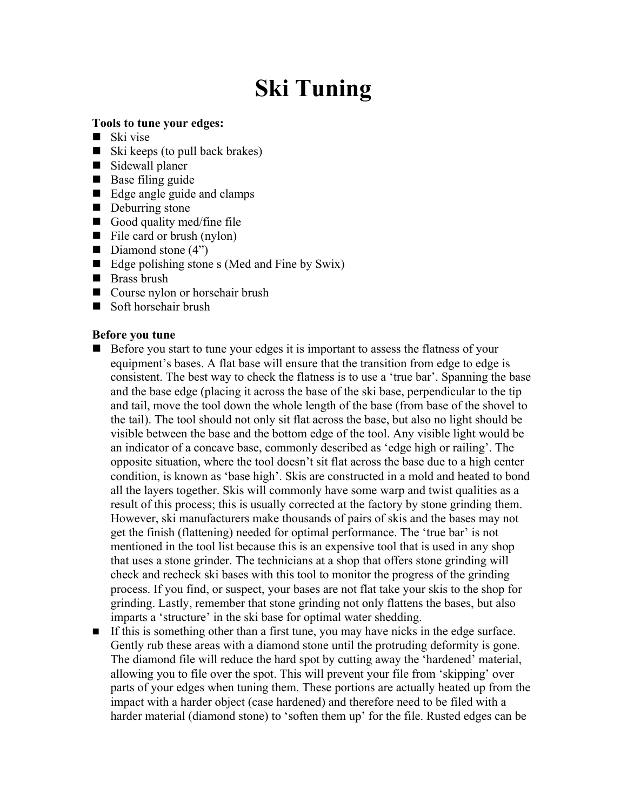## Ski Tuning

## Tools to tune your edges:

- $\blacksquare$  Ski vise
- $\blacksquare$  Ski keeps (to pull back brakes)
- Sidewall planer
- $\blacksquare$  Base filing guide
- Edge angle guide and clamps
- Deburring stone
- Good quality med/fine file
- $\blacksquare$  File card or brush (nylon)
- Diamond stone  $(4")$
- Edge polishing stone s (Med and Fine by Swix)
- Brass brush
- Course nylon or horsehair brush
- Soft horsehair brush

## Before you tune

- Before you start to tune your edges it is important to assess the flatness of your equipment's bases. A flat base will ensure that the transition from edge to edge is consistent. The best way to check the flatness is to use a 'true bar'. Spanning the base and the base edge (placing it across the base of the ski base, perpendicular to the tip and tail, move the tool down the whole length of the base (from base of the shovel to the tail). The tool should not only sit flat across the base, but also no light should be visible between the base and the bottom edge of the tool. Any visible light would be an indicator of a concave base, commonly described as 'edge high or railing'. The opposite situation, where the tool doesn't sit flat across the base due to a high center condition, is known as 'base high'. Skis are constructed in a mold and heated to bond all the layers together. Skis will commonly have some warp and twist qualities as a result of this process; this is usually corrected at the factory by stone grinding them. However, ski manufacturers make thousands of pairs of skis and the bases may not get the finish (flattening) needed for optimal performance. The 'true bar' is not mentioned in the tool list because this is an expensive tool that is used in any shop that uses a stone grinder. The technicians at a shop that offers stone grinding will check and recheck ski bases with this tool to monitor the progress of the grinding process. If you find, or suspect, your bases are not flat take your skis to the shop for grinding. Lastly, remember that stone grinding not only flattens the bases, but also imparts a 'structure' in the ski base for optimal water shedding.
- If this is something other than a first tune, you may have nicks in the edge surface. Gently rub these areas with a diamond stone until the protruding deformity is gone. The diamond file will reduce the hard spot by cutting away the 'hardened' material, allowing you to file over the spot. This will prevent your file from 'skipping' over parts of your edges when tuning them. These portions are actually heated up from the impact with a harder object (case hardened) and therefore need to be filed with a harder material (diamond stone) to 'soften them up' for the file. Rusted edges can be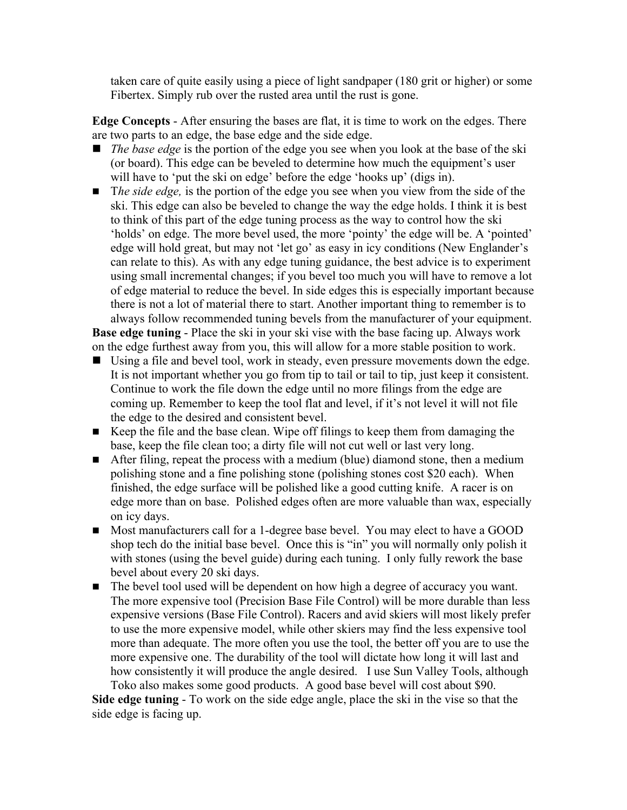taken care of quite easily using a piece of light sandpaper (180 grit or higher) or some Fibertex. Simply rub over the rusted area until the rust is gone.

Edge Concepts - After ensuring the bases are flat, it is time to work on the edges. There are two parts to an edge, the base edge and the side edge.

- *The base edge* is the portion of the edge you see when you look at the base of the ski (or board). This edge can be beveled to determine how much the equipment's user will have to 'put the ski on edge' before the edge 'hooks up' (digs in).
- *The side edge*, is the portion of the edge you see when you view from the side of the ski. This edge can also be beveled to change the way the edge holds. I think it is best to think of this part of the edge tuning process as the way to control how the ski 'holds' on edge. The more bevel used, the more 'pointy' the edge will be. A 'pointed' edge will hold great, but may not 'let go' as easy in icy conditions (New Englander's can relate to this). As with any edge tuning guidance, the best advice is to experiment using small incremental changes; if you bevel too much you will have to remove a lot of edge material to reduce the bevel. In side edges this is especially important because there is not a lot of material there to start. Another important thing to remember is to always follow recommended tuning bevels from the manufacturer of your equipment.

Base edge tuning - Place the ski in your ski vise with the base facing up. Always work on the edge furthest away from you, this will allow for a more stable position to work.

- Using a file and bevel tool, work in steady, even pressure movements down the edge. It is not important whether you go from tip to tail or tail to tip, just keep it consistent. Continue to work the file down the edge until no more filings from the edge are coming up. Remember to keep the tool flat and level, if it's not level it will not file the edge to the desired and consistent bevel.
- Keep the file and the base clean. Wipe off filings to keep them from damaging the base, keep the file clean too; a dirty file will not cut well or last very long.
- After filing, repeat the process with a medium (blue) diamond stone, then a medium polishing stone and a fine polishing stone (polishing stones cost \$20 each). When finished, the edge surface will be polished like a good cutting knife. A racer is on edge more than on base. Polished edges often are more valuable than wax, especially on icy days.
- Most manufacturers call for a 1-degree base bevel. You may elect to have a GOOD shop tech do the initial base bevel. Once this is "in" you will normally only polish it with stones (using the bevel guide) during each tuning. I only fully rework the base bevel about every 20 ski days.
- The bevel tool used will be dependent on how high a degree of accuracy you want. The more expensive tool (Precision Base File Control) will be more durable than less expensive versions (Base File Control). Racers and avid skiers will most likely prefer to use the more expensive model, while other skiers may find the less expensive tool more than adequate. The more often you use the tool, the better off you are to use the more expensive one. The durability of the tool will dictate how long it will last and how consistently it will produce the angle desired. I use Sun Valley Tools, although Toko also makes some good products. A good base bevel will cost about \$90.

Side edge tuning - To work on the side edge angle, place the ski in the vise so that the side edge is facing up.